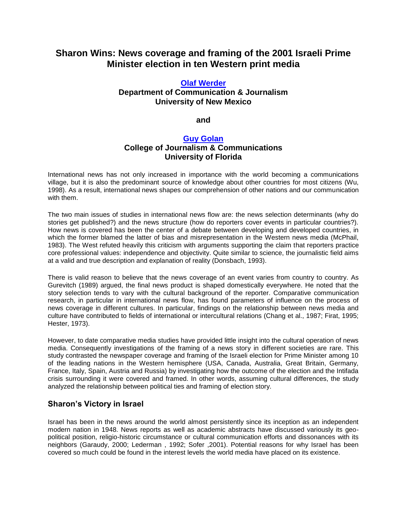# **Sharon Wins: News coverage and framing of the 2001 Israeli Prime Minister election in ten Western print media**

### **[Olaf Werder](http://lass.calumet.purdue.edu/cca/gmj/SubmittedDocuments/archivedpapers/Fall2002/GradResearch/werdergolan.htm#Werder1) Department of Communication & Journalism University of New Mexico**

**and**

### **[Guy Golan](http://lass.calumet.purdue.edu/cca/gmj/SubmittedDocuments/archivedpapers/Fall2002/GradResearch/werdergolan.htm#Golan1)**

## **College of Journalism & Communications University of Florida**

International news has not only increased in importance with the world becoming a communications village, but it is also the predominant source of knowledge about other countries for most citizens (Wu, 1998). As a result, international news shapes our comprehension of other nations and our communication with them.

The two main issues of studies in international news flow are: the news selection determinants (why do stories get published?) and the news structure (how do reporters cover events in particular countries?). How news is covered has been the center of a debate between developing and developed countries, in which the former blamed the latter of bias and misrepresentation in the Western news media (McPhail, 1983). The West refuted heavily this criticism with arguments supporting the claim that reporters practice core professional values: independence and objectivity. Quite similar to science, the journalistic field aims at a valid and true description and explanation of reality (Donsbach, 1993).

There is valid reason to believe that the news coverage of an event varies from country to country. As Gurevitch (1989) argued, the final news product is shaped domestically everywhere. He noted that the story selection tends to vary with the cultural background of the reporter. Comparative communication research, in particular in international news flow, has found parameters of influence on the process of news coverage in different cultures. In particular, findings on the relationship between news media and culture have contributed to fields of international or intercultural relations (Chang et al., 1987; Firat, 1995; Hester, 1973).

However, to date comparative media studies have provided little insight into the cultural operation of news media. Consequently investigations of the framing of a news story in different societies are rare. This study contrasted the newspaper coverage and framing of the Israeli election for Prime Minister among 10 of the leading nations in the Western hemisphere (USA, Canada, Australia, Great Britain, Germany, France, Italy, Spain, Austria and Russia) by investigating how the outcome of the election and the Intifada crisis surrounding it were covered and framed. In other words, assuming cultural differences, the study analyzed the relationship between political ties and framing of election story.

## **Sharon's Victory in Israel**

Israel has been in the news around the world almost persistently since its inception as an independent modern nation in 1948. News reports as well as academic abstracts have discussed variously its geopolitical position, religio-historic circumstance or cultural communication efforts and dissonances with its neighbors (Garaudy, 2000; Lederman , 1992; Sofer ,2001). Potential reasons for why Israel has been covered so much could be found in the interest levels the world media have placed on its existence.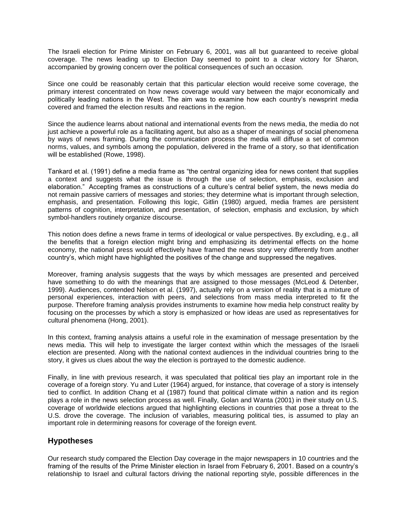The Israeli election for Prime Minister on February 6, 2001, was all but guaranteed to receive global coverage. The news leading up to Election Day seemed to point to a clear victory for Sharon, accompanied by growing concern over the political consequences of such an occasion.

Since one could be reasonably certain that this particular election would receive some coverage, the primary interest concentrated on how news coverage would vary between the major economically and politically leading nations in the West. The aim was to examine how each country's newsprint media covered and framed the election results and reactions in the region.

Since the audience learns about national and international events from the news media, the media do not just achieve a powerful role as a facilitating agent, but also as a shaper of meanings of social phenomena by ways of news framing. During the communication process the media will diffuse a set of common norms, values, and symbols among the population, delivered in the frame of a story, so that identification will be established (Rowe, 1998).

Tankard et al. (1991) define a media frame as "the central organizing idea for news content that supplies a context and suggests what the issue is through the use of selection, emphasis, exclusion and elaboration." Accepting frames as constructions of a culture's central belief system, the news media do not remain passive carriers of messages and stories; they determine what is important through selection, emphasis, and presentation. Following this logic, Gitlin (1980) argued, media frames are persistent patterns of cognition, interpretation, and presentation, of selection, emphasis and exclusion, by which symbol-handlers routinely organize discourse.

This notion does define a news frame in terms of ideological or value perspectives. By excluding, e.g., all the benefits that a foreign election might bring and emphasizing its detrimental effects on the home economy, the national press would effectively have framed the news story very differently from another country's, which might have highlighted the positives of the change and suppressed the negatives.

Moreover, framing analysis suggests that the ways by which messages are presented and perceived have something to do with the meanings that are assigned to those messages (McLeod & Detenber, 1999). Audiences, contended Nelson et al. (1997), actually rely on a version of reality that is a mixture of personal experiences, interaction with peers, and selections from mass media interpreted to fit the purpose. Therefore framing analysis provides instruments to examine how media help construct reality by focusing on the processes by which a story is emphasized or how ideas are used as representatives for cultural phenomena (Hong, 2001).

In this context, framing analysis attains a useful role in the examination of message presentation by the news media. This will help to investigate the larger context within which the messages of the Israeli election are presented. Along with the national context audiences in the individual countries bring to the story, it gives us clues about the way the election is portrayed to the domestic audience.

Finally, in line with previous research, it was speculated that political ties play an important role in the coverage of a foreign story. Yu and Luter (1964) argued, for instance, that coverage of a story is intensely tied to conflict. In addition Chang et al (1987) found that political climate within a nation and its region plays a role in the news selection process as well. Finally, Golan and Wanta (2001) in their study on U.S. coverage of worldwide elections argued that highlighting elections in countries that pose a threat to the U.S. drove the coverage. The inclusion of variables, measuring political ties, is assumed to play an important role in determining reasons for coverage of the foreign event.

### **Hypotheses**

Our research study compared the Election Day coverage in the major newspapers in 10 countries and the framing of the results of the Prime Minister election in Israel from February 6, 2001. Based on a country's relationship to Israel and cultural factors driving the national reporting style, possible differences in the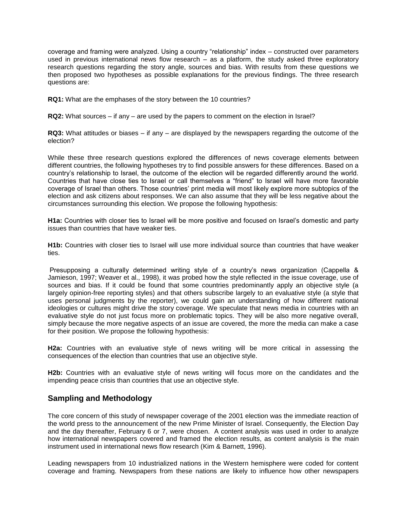coverage and framing were analyzed. Using a country "relationship" index – constructed over parameters used in previous international news flow research – as a platform, the study asked three exploratory research questions regarding the story angle, sources and bias. With results from these questions we then proposed two hypotheses as possible explanations for the previous findings. The three research questions are:

**RQ1:** What are the emphases of the story between the 10 countries?

**RQ2:** What sources – if any – are used by the papers to comment on the election in Israel?

**RQ3:** What attitudes or biases – if any – are displayed by the newspapers regarding the outcome of the election?

While these three research questions explored the differences of news coverage elements between different countries, the following hypotheses try to find possible answers for these differences. Based on a country's relationship to Israel, the outcome of the election will be regarded differently around the world. Countries that have close ties to Israel or call themselves a "friend" to Israel will have more favorable coverage of Israel than others. Those countries' print media will most likely explore more subtopics of the election and ask citizens about responses. We can also assume that they will be less negative about the circumstances surrounding this election. We propose the following hypothesis:

**H1a:** Countries with closer ties to Israel will be more positive and focused on Israel's domestic and party issues than countries that have weaker ties.

**H1b:** Countries with closer ties to Israel will use more individual source than countries that have weaker ties.

Presupposing a culturally determined writing style of a country's news organization (Cappella & Jamieson, 1997; Weaver et al., 1998), it was probed how the style reflected in the issue coverage, use of sources and bias. If it could be found that some countries predominantly apply an objective style (a largely opinion-free reporting styles) and that others subscribe largely to an evaluative style (a style that uses personal judgments by the reporter), we could gain an understanding of how different national ideologies or cultures might drive the story coverage. We speculate that news media in countries with an evaluative style do not just focus more on problematic topics. They will be also more negative overall, simply because the more negative aspects of an issue are covered, the more the media can make a case for their position. We propose the following hypothesis:

**H2a:** Countries with an evaluative style of news writing will be more critical in assessing the consequences of the election than countries that use an objective style.

**H2b:** Countries with an evaluative style of news writing will focus more on the candidates and the impending peace crisis than countries that use an objective style.

### **Sampling and Methodology**

The core concern of this study of newspaper coverage of the 2001 election was the immediate reaction of the world press to the announcement of the new Prime Minister of Israel. Consequently, the Election Day and the day thereafter, February 6 or 7, were chosen. A content analysis was used in order to analyze how international newspapers covered and framed the election results, as content analysis is the main instrument used in international news flow research (Kim & Barnett, 1996).

Leading newspapers from 10 industrialized nations in the Western hemisphere were coded for content coverage and framing. Newspapers from these nations are likely to influence how other newspapers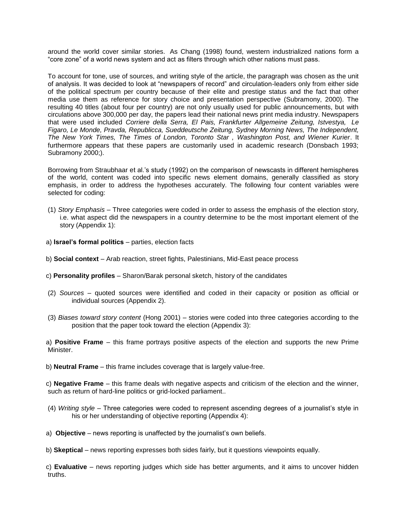around the world cover similar stories. As Chang (1998) found, western industrialized nations form a "core zone" of a world news system and act as filters through which other nations must pass.

To account for tone, use of sources, and writing style of the article, the paragraph was chosen as the unit of analysis. It was decided to look at "newspapers of record" and circulation-leaders only from either side of the political spectrum per country because of their elite and prestige status and the fact that other media use them as reference for story choice and presentation perspective (Subramony, 2000). The resulting 40 titles (about four per country) are not only usually used for public announcements, but with circulations above 300,000 per day, the papers lead their national news print media industry. Newspapers that were used included *Corriere della Serra, El Pais, Frankfurter Allgemeine Zeitung, Istvestya, Le Figaro, Le Monde, Pravda, Republicca, Sueddeutsche Zeitung, Sydney Morning News, The Independent, The New York Times, The Times of London, Toronto Star , Washington Post, and Wiener Kurier*. It furthermore appears that these papers are customarily used in academic research (Donsbach 1993; Subramony 2000;).

Borrowing from Straubhaar et al.'s study (1992) on the comparison of newscasts in different hemispheres of the world, content was coded into specific news element domains, generally classified as story emphasis, in order to address the hypotheses accurately. The following four content variables were selected for coding:

- (1) *Story Emphasis* Three categories were coded in order to assess the emphasis of the election story, i.e. what aspect did the newspapers in a country determine to be the most important element of the story (Appendix 1):
- a) **Israel's formal politics** parties, election facts
- b) **Social context** Arab reaction, street fights, Palestinians, Mid-East peace process
- c) **Personality profiles** Sharon/Barak personal sketch, history of the candidates
- (2) *Sources* quoted sources were identified and coded in their capacity or position as official or individual sources (Appendix 2).
- (3) *Biases toward story content* (Hong 2001) stories were coded into three categories according to the position that the paper took toward the election (Appendix 3):

 a) **Positive Frame** – this frame portrays positive aspects of the election and supports the new Prime Minister.

b) **Neutral Frame** – this frame includes coverage that is largely value-free.

 c) **Negative Frame** – this frame deals with negative aspects and criticism of the election and the winner, such as return of hard-line politics or grid-locked parliament..

- (4) *Writing style* Three categories were coded to represent ascending degrees of a journalist's style in his or her understanding of objective reporting (Appendix 4):
- a) **Objective** news reporting is unaffected by the journalist's own beliefs.
- b) **Skeptical** news reporting expresses both sides fairly, but it questions viewpoints equally.

 c) **Evaluative** – news reporting judges which side has better arguments, and it aims to uncover hidden truths.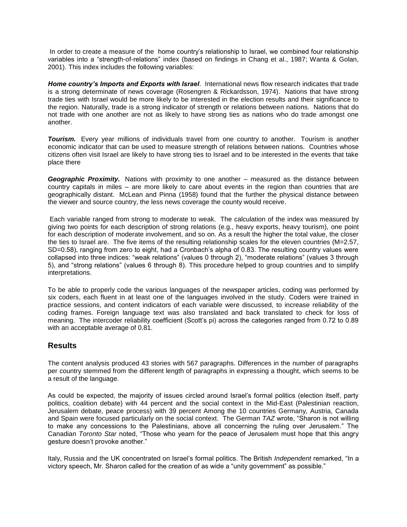In order to create a measure of the home country's relationship to Israel, we combined four relationship variables into a "strength-of-relations" index (based on findings in Chang et al., 1987; Wanta & Golan, 2001). This index includes the following variables:

*Home country's Imports and Exports with Israel*. International news flow research indicates that trade is a strong determinate of news coverage (Rosengren & Rickardsson, 1974). Nations that have strong trade ties with Israel would be more likely to be interested in the election results and their significance to the region. Naturally, trade is a strong indicator of strength or relations between nations. Nations that do not trade with one another are not as likely to have strong ties as nations who do trade amongst one another.

*Tourism.* Every year millions of individuals travel from one country to another. Tourism is another economic indicator that can be used to measure strength of relations between nations. Countries whose citizens often visit Israel are likely to have strong ties to Israel and to be interested in the events that take place there

*Geographic Proximity.* Nations with proximity to one another – measured as the distance between country capitals in miles – are more likely to care about events in the region than countries that are geographically distant. McLean and Pinna (1958) found that the further the physical distance between the viewer and source country, the less news coverage the county would receive.

Each variable ranged from strong to moderate to weak. The calculation of the index was measured by giving two points for each description of strong relations (e.g., heavy exports, heavy tourism), one point for each description of moderate involvement, and so on. As a result the higher the total value, the closer the ties to Israel are. The five items of the resulting relationship scales for the eleven countries (M=2.57, SD=0.58), ranging from zero to eight, had a Cronbach's alpha of 0.83. The resulting country values were collapsed into three indices: "weak relations" (values 0 through 2), "moderate relations" (values 3 through 5), and "strong relations" (values 6 through 8). This procedure helped to group countries and to simplify interpretations.

To be able to properly code the various languages of the newspaper articles, coding was performed by six coders, each fluent in at least one of the languages involved in the study. Coders were trained in practice sessions, and content indicators of each variable were discussed, to increase reliability of the coding frames. Foreign language text was also translated and back translated to check for loss of meaning. The intercoder reliability coefficient (Scott's pi) across the categories ranged from 0.72 to 0.89 with an acceptable average of 0.81.

## **Results**

The content analysis produced 43 stories with 567 paragraphs. Differences in the number of paragraphs per country stemmed from the different length of paragraphs in expressing a thought, which seems to be a result of the language.

As could be expected, the majority of issues circled around Israel's formal politics (election itself, party politics, coalition debate) with 44 percent and the social context in the Mid-East (Palestinian reaction, Jerusalem debate, peace process) with 39 percent Among the 10 countries Germany, Austria, Canada and Spain were focused particularly on the social context. The German *TAZ* wrote, "Sharon is not willing to make any concessions to the Palestinians, above all concerning the ruling over Jerusalem." The Canadian *Toronto Star* noted, "Those who yearn for the peace of Jerusalem must hope that this angry gesture doesn't provoke another."

Italy, Russia and the UK concentrated on Israel's formal politics. The British *Independent* remarked, "In a victory speech, Mr. Sharon called for the creation of as wide a "unity government" as possible."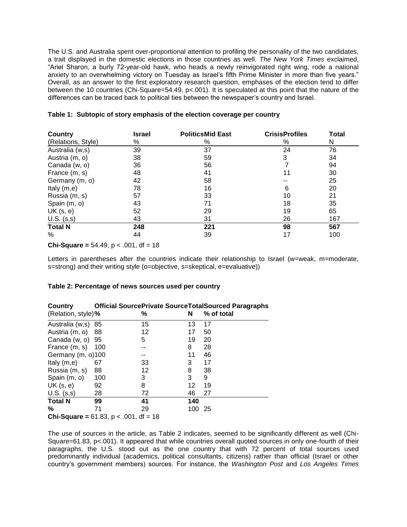The U.S. and Australia spent over-proportional attention to profiling the personality of the two candidates, a trait displayed in the domestic elections in those countries as well. *The New York Times* exclaimed, "Ariel Sharon, a burly 72-year-old hawk, who heads a newly reinvigorated right wing, rode a national anxiety to an overwhelming victory on Tuesday as Israel's fifth Prime Minister in more than five years." Overall, as an answer to the first exploratory research question, emphases of the election tend to differ between the 10 countries (Chi-Square=54.49, p<.001). It is speculated at this point that the nature of the differences can be traced back to political ties between the newspaper's country and Israel.

| Country            | <b>Israel</b> | <b>PoliticsMid East</b> | <b>CrisisProfiles</b> | <b>Total</b> |
|--------------------|---------------|-------------------------|-----------------------|--------------|
| (Relations, Style) | %             | %                       | %                     | N            |
| Australia (w,s)    | 39            | 37                      | 24                    | 76           |
| Austria (m, o)     | 38            | 59                      | 3                     | 34           |
| Canada (w, o)      | 36            | 56                      |                       | 94           |
| France (m, s)      | 48            | 41                      | 11                    | 30           |
| Germany (m, o)     | 42            | 58                      |                       | 25           |
| Italy $(m,e)$      | 78            | 16                      | 6                     | 20           |
| Russia (m, s)      | 57            | 33                      | 10                    | 21           |
| Spain (m, o)       | 43            | 71                      | 18                    | 35           |
| UK(s, e)           | 52            | 29                      | 19                    | 65           |
| $U.S.$ $(s,s)$     | 43            | 31                      | 26                    | 167          |
| <b>Total N</b>     | 248           | 221                     | 98                    | 567          |
| %                  | 44            | 39                      | 17                    | 100          |

|  |  |  | Table 1: Subtopic of story emphasis of the election coverage per country |  |  |
|--|--|--|--------------------------------------------------------------------------|--|--|
|--|--|--|--------------------------------------------------------------------------|--|--|

#### **Chi-Square** =  $54.49$ ,  $p < .001$ , df =  $18$

Letters in parentheses after the countries indicate their relationship to Israel (w=weak, m=moderate, s=strong) and their writing style (o=objective, s=skeptical, e=evaluative))

| Country                                 | <b>Official SourcePrivate SourceTotalSourced Paragraphs</b> |           |     |            |  |
|-----------------------------------------|-------------------------------------------------------------|-----------|-----|------------|--|
| (Relation, style)%                      |                                                             | %         | N   | % of total |  |
| Australia (w,s) 85                      |                                                             | 15        | 13  | 17         |  |
| Austria (m, o)                          | 88                                                          | 12        | 17  | 50         |  |
| Canada (w, o)                           | 95                                                          | 5         | 19  | 20         |  |
| France (m, s)                           | 100                                                         |           | 8   | 28         |  |
| Germany (m, o)100                       |                                                             | --        | 11  | 46         |  |
| Italy $(m,e)$                           | 67                                                          | 33        | 3   | 17         |  |
| Russia (m, s)                           | 88                                                          | 12        | 8   | 38         |  |
| Spain (m, o)                            | 100                                                         | 3         | 3   | 9          |  |
| UK $(s, e)$                             | 92                                                          | 8         | 12  | 19         |  |
| $U.S.$ $(s,s)$                          | 28                                                          | 72        | 46  | 27         |  |
| <b>Total N</b>                          | 99                                                          | 41        | 140 |            |  |
| %                                       | 71                                                          | 29        | 100 | -25        |  |
| $Chi\cdot S$ quare – 61.83 n $\geq$ 001 |                                                             | $AF - 18$ |     |            |  |

#### **Table 2: Percentage of news sources used per country**

**Chi-Square =** 61.83, p < .001, df = 18

The use of sources in the article, as Table 2 indicates, seemed to be significantly different as well (Chi-Square=61.83, p<.001). It appeared that while countries overall quoted sources in only one-fourth of their paragraphs, the U.S. stood out as the one country that with 72 percent of total sources used predominantly individual (academics, political consultants, citizens) rather than official (Israel or other country's government members) sources. For instance, the *Washington Post* and *Los Angeles Times*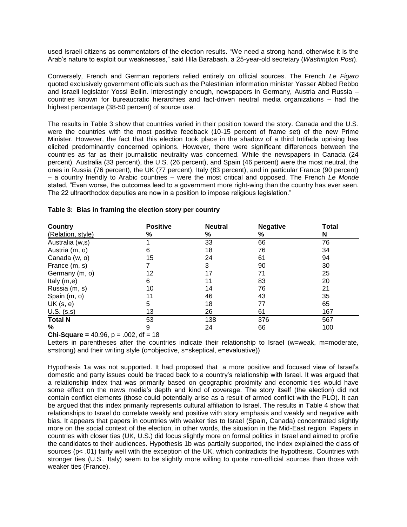used Israeli citizens as commentators of the election results. "We need a strong hand, otherwise it is the Arab's nature to exploit our weaknesses," said Hila Barabash, a 25-year-old secretary (*Washington Post*).

Conversely, French and German reporters relied entirely on official sources. The French *Le Figaro* quoted exclusively government officials such as the Palestinian information minister Yasser Abbed Rebbo and Israeli legislator Yossi Beilin. Interestingly enough, newspapers in Germany, Austria and Russia – countries known for bureaucratic hierarchies and fact-driven neutral media organizations – had the highest percentage (38-50 percent) of source use.

The results in Table 3 show that countries varied in their position toward the story. Canada and the U.S. were the countries with the most positive feedback (10-15 percent of frame set) of the new Prime Minister. However, the fact that this election took place in the shadow of a third Intifada uprising has elicited predominantly concerned opinions. However, there were significant differences between the countries as far as their journalistic neutrality was concerned. While the newspapers in Canada (24 percent), Australia (33 percent), the U.S. (26 percent), and Spain (46 percent) were the most neutral, the ones in Russia (76 percent), the UK (77 percent), Italy (83 percent), and in particular France (90 percent) – a country friendly to Arabic countries – were the most critical and opposed. The French *Le Monde* stated, "Even worse, the outcomes lead to a government more right-wing than the country has ever seen. The 22 ultraorthodox deputies are now in a position to impose religious legislation."

| Country           | <b>Positive</b> | <b>Neutral</b> | <b>Negative</b> | Total |
|-------------------|-----------------|----------------|-----------------|-------|
| (Relation, style) | %               | %              | %               | N     |
| Australia (w,s)   |                 | 33             | 66              | 76    |
| Austria (m, o)    | 6               | 18             | 76              | 34    |
| Canada (w, o)     | 15              | 24             | 61              | 94    |
| France (m, s)     |                 | 3              | 90              | 30    |
| Germany (m, o)    | 12              | 17             | 71              | 25    |
| Italy $(m,e)$     | 6               | 11             | 83              | 20    |
| Russia (m, s)     | 10              | 14             | 76              | 21    |
| Spain (m, o)      | 11              | 46             | 43              | 35    |
| UK(s, e)          | 5               | 18             | 77              | 65    |
| $U.S.$ $(s,s)$    | 13              | 26             | 61              | 167   |
| <b>Total N</b>    | 53              | 138            | 376             | 567   |
| %                 | 9               | 24             | 66              | 100   |

#### **Table 3: Bias in framing the election story per country**

**Chi-Square =** 40.96,  $p = .002$ , df = 18

Letters in parentheses after the countries indicate their relationship to Israel (w=weak, m=moderate, s=strong) and their writing style (o=objective, s=skeptical, e=evaluative))

Hypothesis 1a was not supported. It had proposed that a more positive and focused view of Israel's domestic and party issues could be traced back to a country's relationship with Israel. It was argued that a relationship index that was primarily based on geographic proximity and economic ties would have some effect on the news media's depth and kind of coverage. The story itself (the election) did not contain conflict elements (those could potentially arise as a result of armed conflict with the PLO). It can be argued that this index primarily represents cultural affiliation to Israel. The results in Table 4 show that relationships to Israel do correlate weakly and positive with story emphasis and weakly and negative with bias. It appears that papers in countries with weaker ties to Israel (Spain, Canada) concentrated slightly more on the social context of the election, in other words, the situation in the Mid-East region. Papers in countries with closer ties (UK, U.S.) did focus slightly more on formal politics in Israel and aimed to profile the candidates to their audiences. Hypothesis 1b was partially supported, the index explained the class of sources (p< .01) fairly well with the exception of the UK, which contradicts the hypothesis. Countries with stronger ties (U.S., Italy) seem to be slightly more willing to quote non-official sources than those with weaker ties (France).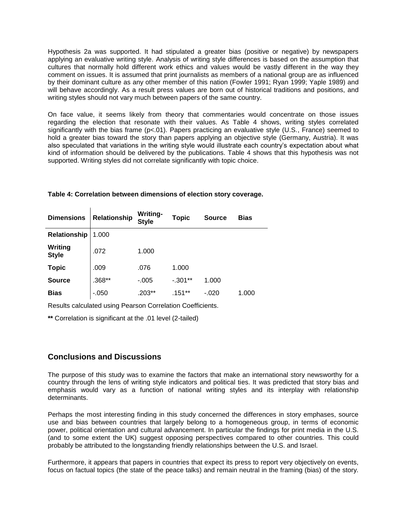Hypothesis 2a was supported. It had stipulated a greater bias (positive or negative) by newspapers applying an evaluative writing style. Analysis of writing style differences is based on the assumption that cultures that normally hold different work ethics and values would be vastly different in the way they comment on issues. It is assumed that print journalists as members of a national group are as influenced by their dominant culture as any other member of this nation (Fowler 1991; Ryan 1999; Yaple 1989) and will behave accordingly. As a result press values are born out of historical traditions and positions, and writing styles should not vary much between papers of the same country.

On face value, it seems likely from theory that commentaries would concentrate on those issues regarding the election that resonate with their values. As Table 4 shows, writing styles correlated significantly with the bias frame ( $p<01$ ). Papers practicing an evaluative style (U.S., France) seemed to hold a greater bias toward the story than papers applying an objective style (Germany, Austria). It was also speculated that variations in the writing style would illustrate each country's expectation about what kind of information should be delivered by the publications. Table 4 shows that this hypothesis was not supported. Writing styles did not correlate significantly with topic choice.

| <b>Dimensions</b>       | <b>Relationship</b> | Writing-<br><b>Style</b> | Topic     | <b>Source</b> | <b>Bias</b> |
|-------------------------|---------------------|--------------------------|-----------|---------------|-------------|
| Relationship            | 1.000               |                          |           |               |             |
| Writing<br><b>Style</b> | .072                | 1.000                    |           |               |             |
| <b>Topic</b>            | .009                | .076                     | 1.000     |               |             |
| <b>Source</b>           | .368**              | $-0.005$                 | $-.301**$ | 1.000         |             |
| <b>Bias</b>             | $-.050$             | .203**                   | .151**    | -.020         | 1.000       |

#### **Table 4: Correlation between dimensions of election story coverage.**

Results calculated using Pearson Correlation Coefficients.

**\*\*** Correlation is significant at the .01 level (2-tailed)

### **Conclusions and Discussions**

 $\mathbf{I}$ 

The purpose of this study was to examine the factors that make an international story newsworthy for a country through the lens of writing style indicators and political ties. It was predicted that story bias and emphasis would vary as a function of national writing styles and its interplay with relationship determinants.

Perhaps the most interesting finding in this study concerned the differences in story emphases, source use and bias between countries that largely belong to a homogeneous group, in terms of economic power, political orientation and cultural advancement. In particular the findings for print media in the U.S. (and to some extent the UK) suggest opposing perspectives compared to other countries. This could probably be attributed to the longstanding friendly relationships between the U.S. and Israel.

Furthermore, it appears that papers in countries that expect its press to report very objectively on events, focus on factual topics (the state of the peace talks) and remain neutral in the framing (bias) of the story.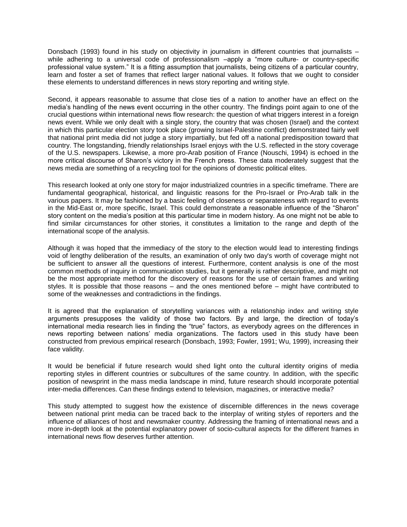Donsbach (1993) found in his study on objectivity in journalism in different countries that journalists – while adhering to a universal code of professionalism –apply a "more culture- or country-specific professional value system." It is a fitting assumption that journalists, being citizens of a particular country, learn and foster a set of frames that reflect larger national values. It follows that we ought to consider these elements to understand differences in news story reporting and writing style.

Second, it appears reasonable to assume that close ties of a nation to another have an effect on the media's handling of the news event occurring in the other country. The findings point again to one of the crucial questions within international news flow research: the question of what triggers interest in a foreign news event. While we only dealt with a single story, the country that was chosen (Israel) and the context in which this particular election story took place (growing Israel-Palestine conflict) demonstrated fairly well that national print media did not judge a story impartially, but fed off a national predisposition toward that country. The longstanding, friendly relationships Israel enjoys with the U.S. reflected in the story coverage of the U.S. newspapers. Likewise, a more pro-Arab position of France (Nouschi, 1994) is echoed in the more critical discourse of Sharon's victory in the French press. These data moderately suggest that the news media are something of a recycling tool for the opinions of domestic political elites.

This research looked at only one story for major industrialized countries in a specific timeframe. There are fundamental geographical, historical, and linguistic reasons for the Pro-Israel or Pro-Arab talk in the various papers. It may be fashioned by a basic feeling of closeness or separateness with regard to events in the Mid-East or, more specific, Israel. This could demonstrate a reasonable influence of the "Sharon" story content on the media's position at this particular time in modern history. As one might not be able to find similar circumstances for other stories, it constitutes a limitation to the range and depth of the international scope of the analysis.

Although it was hoped that the immediacy of the story to the election would lead to interesting findings void of lengthy deliberation of the results, an examination of only two day's worth of coverage might not be sufficient to answer all the questions of interest. Furthermore, content analysis is one of the most common methods of inquiry in communication studies, but it generally is rather descriptive, and might not be the most appropriate method for the discovery of reasons for the use of certain frames and writing styles. It is possible that those reasons – and the ones mentioned before – might have contributed to some of the weaknesses and contradictions in the findings.

It is agreed that the explanation of storytelling variances with a relationship index and writing style arguments presupposes the validity of those two factors. By and large, the direction of today's international media research lies in finding the "true" factors, as everybody agrees on the differences in news reporting between nations' media organizations. The factors used in this study have been constructed from previous empirical research (Donsbach, 1993; Fowler, 1991; Wu, 1999), increasing their face validity.

It would be beneficial if future research would shed light onto the cultural identity origins of media reporting styles in different countries or subcultures of the same country. In addition, with the specific position of newsprint in the mass media landscape in mind, future research should incorporate potential inter-media differences. Can these findings extend to television, magazines, or interactive media?

This study attempted to suggest how the existence of discernible differences in the news coverage between national print media can be traced back to the interplay of writing styles of reporters and the influence of alliances of host and newsmaker country. Addressing the framing of international news and a more in-depth look at the potential explanatory power of socio-cultural aspects for the different frames in international news flow deserves further attention.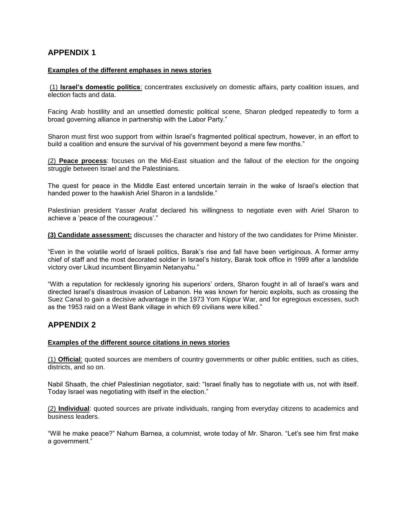## **APPENDIX 1**

#### **Examples of the different emphases in news stories**

(1) **Israel's domestic politics**: concentrates exclusively on domestic affairs, party coalition issues, and election facts and data.

Facing Arab hostility and an unsettled domestic political scene, Sharon pledged repeatedly to form a broad governing alliance in partnership with the Labor Party."

Sharon must first woo support from within Israel's fragmented political spectrum, however, in an effort to build a coalition and ensure the survival of his government beyond a mere few months."

(2) **Peace process**: focuses on the Mid-East situation and the fallout of the election for the ongoing struggle between Israel and the Palestinians.

The quest for peace in the Middle East entered uncertain terrain in the wake of Israel's election that handed power to the hawkish Ariel Sharon in a landslide."

Palestinian president Yasser Arafat declared his willingness to negotiate even with Ariel Sharon to achieve a 'peace of the courageous'."

**(3) Candidate assessment:** discusses the character and history of the two candidates for Prime Minister.

"Even in the volatile world of Israeli politics, Barak's rise and fall have been vertiginous. A former army chief of staff and the most decorated soldier in Israel's history, Barak took office in 1999 after a landslide victory over Likud incumbent Binyamin Netanyahu."

"With a reputation for recklessly ignoring his superiors' orders, Sharon fought in all of Israel's wars and directed Israel's disastrous invasion of Lebanon. He was known for heroic exploits, such as crossing the Suez Canal to gain a decisive advantage in the 1973 Yom Kippur War, and for egregious excesses, such as the 1953 raid on a West Bank village in which 69 civilians were killed."

### **APPENDIX 2**

#### **Examples of the different source citations in news stories**

(1) **Official**: quoted sources are members of country governments or other public entities, such as cities, districts, and so on.

Nabil Shaath, the chief Palestinian negotiator, said: "Israel finally has to negotiate with us, not with itself. Today Israel was negotiating with itself in the election."

(2) **Individual**: quoted sources are private individuals, ranging from everyday citizens to academics and business leaders.

"Will he make peace?" Nahum Barnea, a columnist, wrote today of Mr. Sharon. "Let's see him first make a government."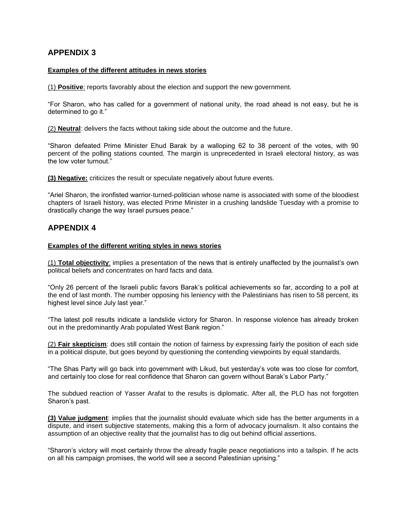## **APPENDIX 3**

#### **Examples of the different attitudes in news stories**

(1) **Positive**: reports favorably about the election and support the new government.

"For Sharon, who has called for a government of national unity, the road ahead is not easy, but he is determined to go it."

(2) **Neutral**: delivers the facts without taking side about the outcome and the future.

"Sharon defeated Prime Minister Ehud Barak by a walloping 62 to 38 percent of the votes, with 90 percent of the polling stations counted. The margin is unprecedented in Israeli electoral history, as was the low voter turnout."

**(3) Negative:** criticizes the result or speculate negatively about future events.

"Ariel Sharon, the ironfisted warrior-turned-politician whose name is associated with some of the bloodiest chapters of Israeli history, was elected Prime Minister in a crushing landslide Tuesday with a promise to drastically change the way Israel pursues peace."

### **APPENDIX 4**

### **Examples of the different writing styles in news stories**

(1) **Total objectivity**: implies a presentation of the news that is entirely unaffected by the journalist's own political beliefs and concentrates on hard facts and data.

"Only 26 percent of the Israeli public favors Barak's political achievements so far, according to a poll at the end of last month. The number opposing his leniency with the Palestinians has risen to 58 percent, its highest level since July last year."

"The latest poll results indicate a landslide victory for Sharon. In response violence has already broken out in the predominantly Arab populated West Bank region."

(2) **Fair skepticism**: does still contain the notion of fairness by expressing fairly the position of each side in a political dispute, but goes beyond by questioning the contending viewpoints by equal standards.

"The Shas Party will go back into government with Likud, but yesterday's vote was too close for comfort, and certainly too close for real confidence that Sharon can govern without Barak's Labor Party."

The subdued reaction of Yasser Arafat to the results is diplomatic. After all, the PLO has not forgotten Sharon's past.

**(3) Value judgment**: implies that the journalist should evaluate which side has the better arguments in a dispute, and insert subjective statements, making this a form of advocacy journalism. It also contains the assumption of an objective reality that the journalist has to dig out behind official assertions.

"Sharon's victory will most certainly throw the already fragile peace negotiations into a tailspin. If he acts on all his campaign promises, the world will see a second Palestinian uprising."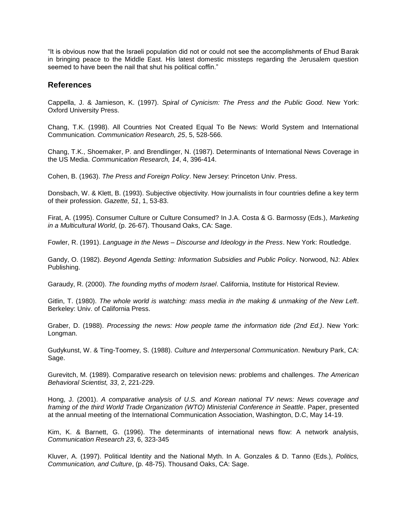"It is obvious now that the Israeli population did not or could not see the accomplishments of Ehud Barak in bringing peace to the Middle East. His latest domestic missteps regarding the Jerusalem question seemed to have been the nail that shut his political coffin."

### **References**

Cappella, J. & Jamieson, K. (1997). *Spiral of Cynicism: The Press and the Public Good*. New York: Oxford University Press.

Chang, T.K. (1998). All Countries Not Created Equal To Be News: World System and International Communication. *Communication Research, 25*, 5, 528-566.

Chang, T.K., Shoemaker, P. and Brendlinger, N. (1987). Determinants of International News Coverage in the US Media. *Communication Research, 14*, 4, 396-414.

Cohen, B. (1963). *The Press and Foreign Policy*. New Jersey: Princeton Univ. Press.

Donsbach, W. & Klett, B. (1993). Subjective objectivity. How journalists in four countries define a key term of their profession. *Gazette, 51*, 1, 53-83.

Firat, A. (1995). Consumer Culture or Culture Consumed? In J.A. Costa & G. Barmossy (Eds.), *Marketing in a Multicultural World*, (p. 26-67). Thousand Oaks, CA: Sage.

Fowler, R. (1991). *Language in the News – Discourse and Ideology in the Press*. New York: Routledge.

Gandy, O. (1982). *Beyond Agenda Setting: Information Subsidies and Public Policy*. Norwood, NJ: Ablex Publishing.

Garaudy, R. (2000). *The founding myths of modern Israel*. California, Institute for Historical Review.

Gitlin, T. (1980). *The whole world is watching: mass media in the making & unmaking of the New Left*. Berkeley: Univ. of California Press.

Graber, D. (1988). *Processing the news: How people tame the information tide (2nd Ed.)*. New York: Longman.

Gudykunst, W. & Ting-Toomey, S. (1988). *Culture and Interpersonal Communication*. Newbury Park, CA: Sage.

Gurevitch, M. (1989). Comparative research on television news: problems and challenges. *The American Behavioral Scientist, 33*, 2, 221-229.

Hong, J. (2001). *A comparative analysis of U.S. and Korean national TV news: News coverage and framing of the third World Trade Organization (WTO) Ministerial Conference in Seattle*. Paper, presented at the annual meeting of the International Communication Association, Washington, D.C, May 14-19.

Kim, K. & Barnett, G. (1996). The determinants of international news flow: A network analysis, *Communication Research 23*, 6, 323-345

Kluver, A. (1997). Political Identity and the National Myth. In A. Gonzales & D. Tanno (Eds.), *Politics, Communication, and Culture*, (p. 48-75). Thousand Oaks, CA: Sage.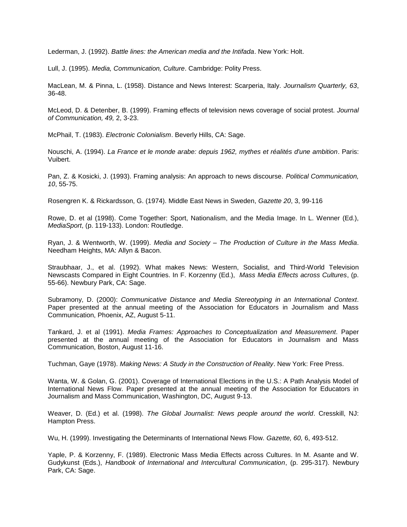Lederman, J. (1992). *Battle lines: the American media and the Intifada*. New York: Holt.

Lull, J. (1995). *Media, Communication, Culture*. Cambridge: Polity Press.

MacLean, M. & Pinna, L. (1958). Distance and News Interest: Scarperia, Italy. *Journalism Quarterly, 63*, 36-48.

McLeod, D. & Detenber, B. (1999). Framing effects of television news coverage of social protest. *Journal of Communication, 49,* 2, 3-23.

McPhail, T. (1983). *Electronic Colonialism*. Beverly Hills, CA: Sage.

Nouschi, A. (1994). *La France et le monde arabe: depuis 1962, mythes et réalités d'une ambition*. Paris: Vuibert.

Pan, Z. & Kosicki, J. (1993). Framing analysis: An approach to news discourse. *Political Communication, 10*, 55-75.

Rosengren K. & Rickardsson, G. (1974). Middle East News in Sweden, *Gazette 20*, 3, 99-116

Rowe, D. et al (1998). Come Together: Sport, Nationalism, and the Media Image. In L. Wenner (Ed.), *MediaSport*, (p. 119-133). London: Routledge.

Ryan, J. & Wentworth, W. (1999). *Media and Society – The Production of Culture in the Mass Media*. Needham Heights, MA: Allyn & Bacon.

Straubhaar, J., et al. (1992). What makes News: Western, Socialist, and Third-World Television Newscasts Compared in Eight Countries. In F. Korzenny (Ed.), *Mass Media Effects across Cultures*, (p. 55-66). Newbury Park, CA: Sage.

Subramony, D. (2000): *Communicative Distance and Media Stereotyping in an International Context*. Paper presented at the annual meeting of the Association for Educators in Journalism and Mass Communication, Phoenix, AZ, August 5-11.

Tankard, J. et al (1991). *Media Frames: Approaches to Conceptualization and Measurement*. Paper presented at the annual meeting of the Association for Educators in Journalism and Mass Communication, Boston, August 11-16.

Tuchman, Gaye (1978). *Making News: A Study in the Construction of Reality*. New York: Free Press.

Wanta, W. & Golan, G. (2001). Coverage of International Elections in the U.S.: A Path Analysis Model of International News Flow. Paper presented at the annual meeting of the Association for Educators in Journalism and Mass Communication, Washington, DC, August 9-13.

Weaver, D. (Ed.) et al. (1998). *The Global Journalist: News people around the world*. Cresskill, NJ: Hampton Press.

Wu, H. (1999). Investigating the Determinants of International News Flow. *Gazette, 60,* 6, 493-512.

Yaple, P. & Korzenny, F. (1989). Electronic Mass Media Effects across Cultures. In M. Asante and W. Gudykunst (Eds.), *Handbook of International and Intercultural Communication*, (p. 295-317). Newbury Park, CA: Sage.